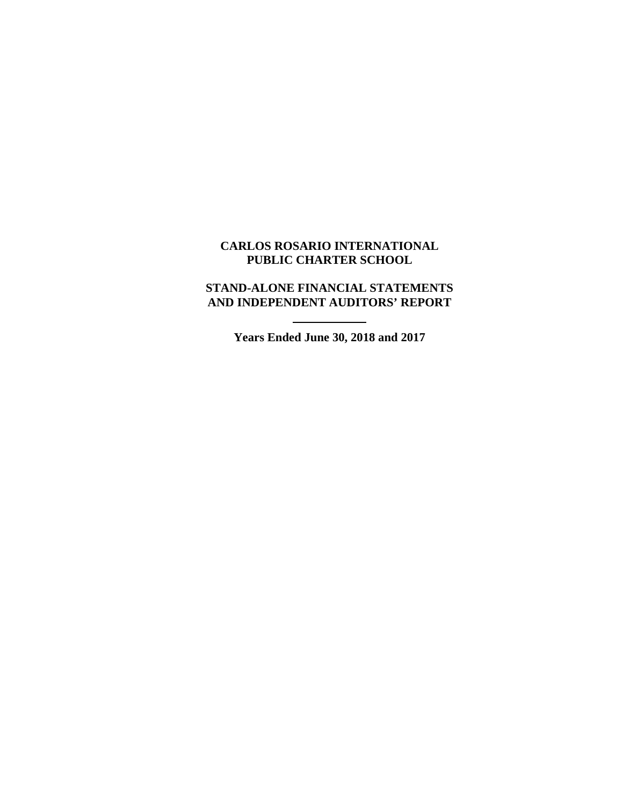### **CARLOS ROSARIO INTERNATIONAL PUBLIC CHARTER SCHOOL**

## **STAND-ALONE FINANCIAL STATEMENTS AND INDEPENDENT AUDITORS' REPORT**

**Years Ended June 30, 2018 and 2017**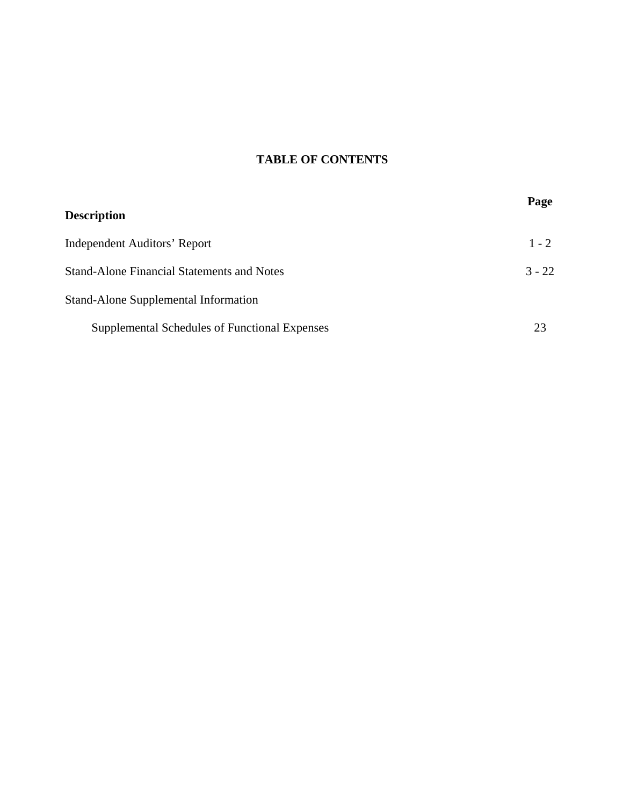# **TABLE OF CONTENTS**

| <b>Description</b>                                | Page     |
|---------------------------------------------------|----------|
| <b>Independent Auditors' Report</b>               | $1 - 2$  |
| <b>Stand-Alone Financial Statements and Notes</b> | $3 - 22$ |
| Stand-Alone Supplemental Information              |          |
| Supplemental Schedules of Functional Expenses     | 23       |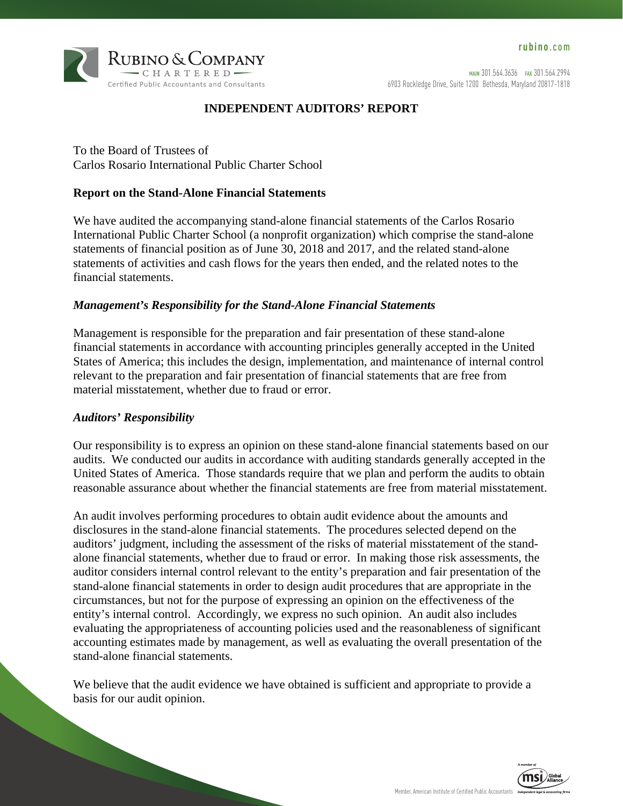

MAIN 301.564.3636 FAX 301.564.2994 6903 Rockledge Drive, Suite 1200 Bethesda, Maryland 20817-1818

### **INDEPENDENT AUDITORS' REPORT**

To the Board of Trustees of Carlos Rosario International Public Charter School

### **Report on the Stand-Alone Financial Statements**

We have audited the accompanying stand-alone financial statements of the Carlos Rosario International Public Charter School (a nonprofit organization) which comprise the stand-alone statements of financial position as of June 30, 2018 and 2017, and the related stand-alone statements of activities and cash flows for the years then ended, and the related notes to the financial statements.

#### *Management's Responsibility for the Stand-Alone Financial Statements*

Management is responsible for the preparation and fair presentation of these stand-alone financial statements in accordance with accounting principles generally accepted in the United States of America; this includes the design, implementation, and maintenance of internal control relevant to the preparation and fair presentation of financial statements that are free from material misstatement, whether due to fraud or error.

#### *Auditors' Responsibility*

Our responsibility is to express an opinion on these stand-alone financial statements based on our audits. We conducted our audits in accordance with auditing standards generally accepted in the United States of America. Those standards require that we plan and perform the audits to obtain reasonable assurance about whether the financial statements are free from material misstatement.

An audit involves performing procedures to obtain audit evidence about the amounts and disclosures in the stand-alone financial statements. The procedures selected depend on the auditors' judgment, including the assessment of the risks of material misstatement of the standalone financial statements, whether due to fraud or error. In making those risk assessments, the auditor considers internal control relevant to the entity's preparation and fair presentation of the stand-alone financial statements in order to design audit procedures that are appropriate in the circumstances, but not for the purpose of expressing an opinion on the effectiveness of the entity's internal control. Accordingly, we express no such opinion. An audit also includes evaluating the appropriateness of accounting policies used and the reasonableness of significant accounting estimates made by management, as well as evaluating the overall presentation of the stand-alone financial statements.

We believe that the audit evidence we have obtained is sufficient and appropriate to provide a basis for our audit opinion.

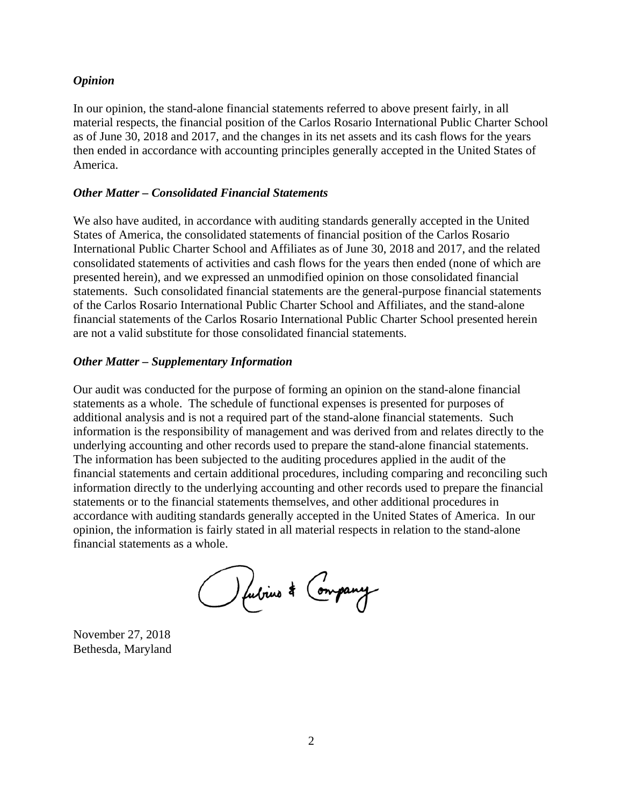#### *Opinion*

In our opinion, the stand-alone financial statements referred to above present fairly, in all material respects, the financial position of the Carlos Rosario International Public Charter School as of June 30, 2018 and 2017, and the changes in its net assets and its cash flows for the years then ended in accordance with accounting principles generally accepted in the United States of America.

#### *Other Matter – Consolidated Financial Statements*

We also have audited, in accordance with auditing standards generally accepted in the United States of America, the consolidated statements of financial position of the Carlos Rosario International Public Charter School and Affiliates as of June 30, 2018 and 2017, and the related consolidated statements of activities and cash flows for the years then ended (none of which are presented herein), and we expressed an unmodified opinion on those consolidated financial statements. Such consolidated financial statements are the general-purpose financial statements of the Carlos Rosario International Public Charter School and Affiliates, and the stand-alone financial statements of the Carlos Rosario International Public Charter School presented herein are not a valid substitute for those consolidated financial statements.

#### *Other Matter – Supplementary Information*

Our audit was conducted for the purpose of forming an opinion on the stand-alone financial statements as a whole. The schedule of functional expenses is presented for purposes of additional analysis and is not a required part of the stand-alone financial statements. Such information is the responsibility of management and was derived from and relates directly to the underlying accounting and other records used to prepare the stand-alone financial statements. The information has been subjected to the auditing procedures applied in the audit of the financial statements and certain additional procedures, including comparing and reconciling such information directly to the underlying accounting and other records used to prepare the financial statements or to the financial statements themselves, and other additional procedures in accordance with auditing standards generally accepted in the United States of America. In our opinion, the information is fairly stated in all material respects in relation to the stand-alone financial statements as a whole.

O fubrius \* Company

November 27, 2018 Bethesda, Maryland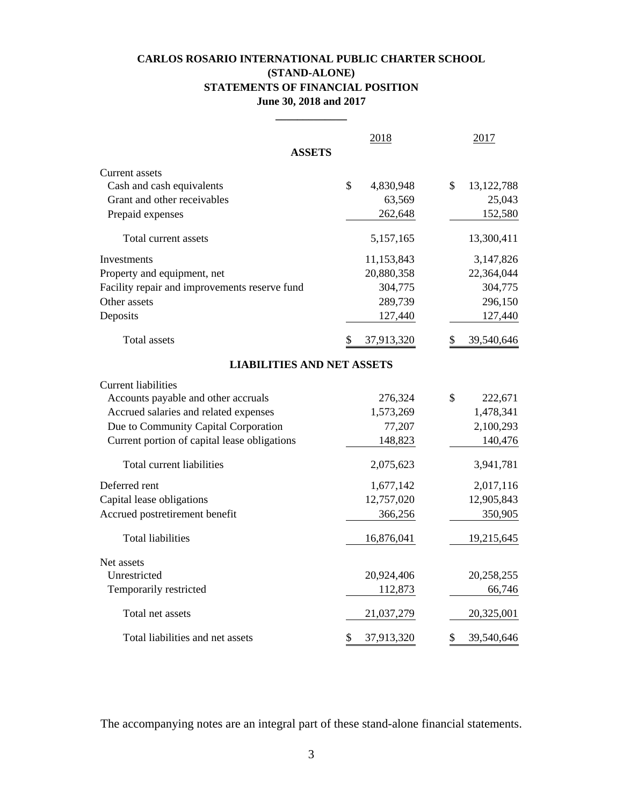### **CARLOS ROSARIO INTERNATIONAL PUBLIC CHARTER SCHOOL (STAND-ALONE) STATEMENTS OF FINANCIAL POSITION June 30, 2018 and 2017**

|                                               | 2018             | 2017               |
|-----------------------------------------------|------------------|--------------------|
| <b>ASSETS</b>                                 |                  |                    |
| Current assets                                |                  |                    |
| Cash and cash equivalents                     | \$<br>4,830,948  | \$<br>13, 122, 788 |
| Grant and other receivables                   | 63,569           | 25,043             |
| Prepaid expenses                              | 262,648          | 152,580            |
| Total current assets                          | 5,157,165        | 13,300,411         |
| Investments                                   | 11,153,843       | 3,147,826          |
| Property and equipment, net                   | 20,880,358       | 22,364,044         |
| Facility repair and improvements reserve fund | 304,775          | 304,775            |
| Other assets                                  | 289,739          | 296,150            |
| Deposits                                      | 127,440          | 127,440            |
| Total assets                                  | 37,913,320       | 39,540,646         |
| <b>LIABILITIES AND NET ASSETS</b>             |                  |                    |
| <b>Current liabilities</b>                    |                  |                    |
| Accounts payable and other accruals           | 276,324          | \$<br>222,671      |
| Accrued salaries and related expenses         | 1,573,269        | 1,478,341          |
| Due to Community Capital Corporation          | 77,207           | 2,100,293          |
| Current portion of capital lease obligations  | 148,823          | 140,476            |
| Total current liabilities                     | 2,075,623        | 3,941,781          |
| Deferred rent                                 | 1,677,142        | 2,017,116          |
| Capital lease obligations                     | 12,757,020       | 12,905,843         |
| Accrued postretirement benefit                | 366,256          | 350,905            |
| <b>Total liabilities</b>                      | 16,876,041       | 19,215,645         |
| Net assets                                    |                  |                    |
| Unrestricted                                  | 20,924,406       | 20,258,255         |
| Temporarily restricted                        | 112,873          | 66,746             |
| Total net assets                              | 21,037,279       | 20,325,001         |
| Total liabilities and net assets              | \$<br>37,913,320 | \$<br>39,540,646   |

The accompanying notes are an integral part of these stand-alone financial statements.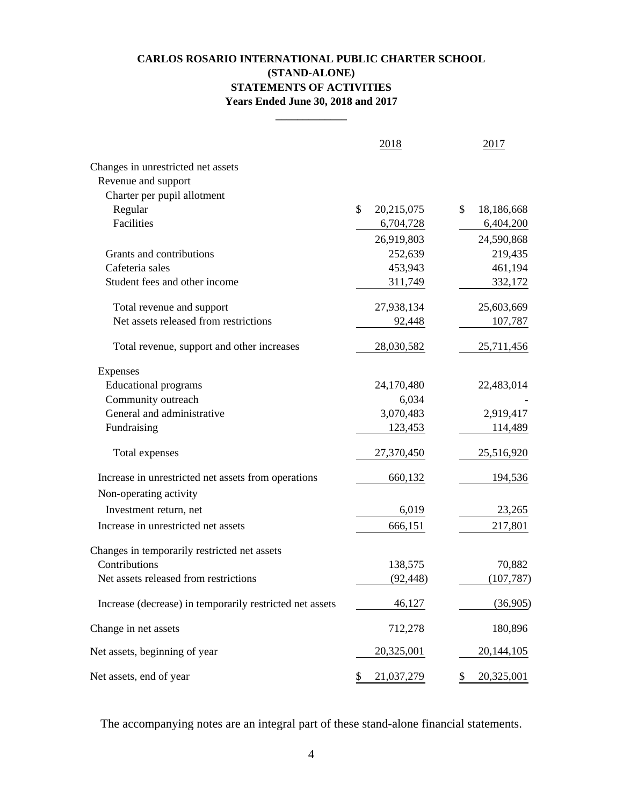### **CARLOS ROSARIO INTERNATIONAL PUBLIC CHARTER SCHOOL (STAND-ALONE) STATEMENTS OF ACTIVITIES Years Ended June 30, 2018 and 2017**

**\_\_\_\_\_\_\_\_\_\_\_\_\_**

|                                                          | 2018             | 2017             |
|----------------------------------------------------------|------------------|------------------|
| Changes in unrestricted net assets                       |                  |                  |
| Revenue and support                                      |                  |                  |
| Charter per pupil allotment                              |                  |                  |
| Regular                                                  | \$<br>20,215,075 | \$<br>18,186,668 |
| Facilities                                               | 6,704,728        | 6,404,200        |
|                                                          | 26,919,803       | 24,590,868       |
| Grants and contributions                                 | 252,639          | 219,435          |
| Cafeteria sales                                          | 453,943          | 461,194          |
| Student fees and other income                            | 311,749          | 332,172          |
| Total revenue and support                                | 27,938,134       | 25,603,669       |
| Net assets released from restrictions                    | 92,448           | 107,787          |
| Total revenue, support and other increases               | 28,030,582       | 25,711,456       |
| Expenses                                                 |                  |                  |
| <b>Educational programs</b>                              | 24,170,480       | 22,483,014       |
| Community outreach                                       | 6,034            |                  |
| General and administrative                               | 3,070,483        | 2,919,417        |
| Fundraising                                              | 123,453          | 114,489          |
| Total expenses                                           | 27,370,450       | 25,516,920       |
| Increase in unrestricted net assets from operations      | 660,132          | 194,536          |
| Non-operating activity                                   |                  |                  |
| Investment return, net                                   | 6,019            | 23,265           |
| Increase in unrestricted net assets                      | 666,151          | 217,801          |
| Changes in temporarily restricted net assets             |                  |                  |
| Contributions                                            | 138,575          | 70,882           |
| Net assets released from restrictions                    | (92, 448)        | (107, 787)       |
| Increase (decrease) in temporarily restricted net assets | 46,127           | (36,905)         |
| Change in net assets                                     | 712,278          | 180,896          |
| Net assets, beginning of year                            | 20,325,001       | 20, 144, 105     |
| Net assets, end of year                                  | 21,037,279<br>\$ | 20,325,001<br>\$ |

The accompanying notes are an integral part of these stand-alone financial statements.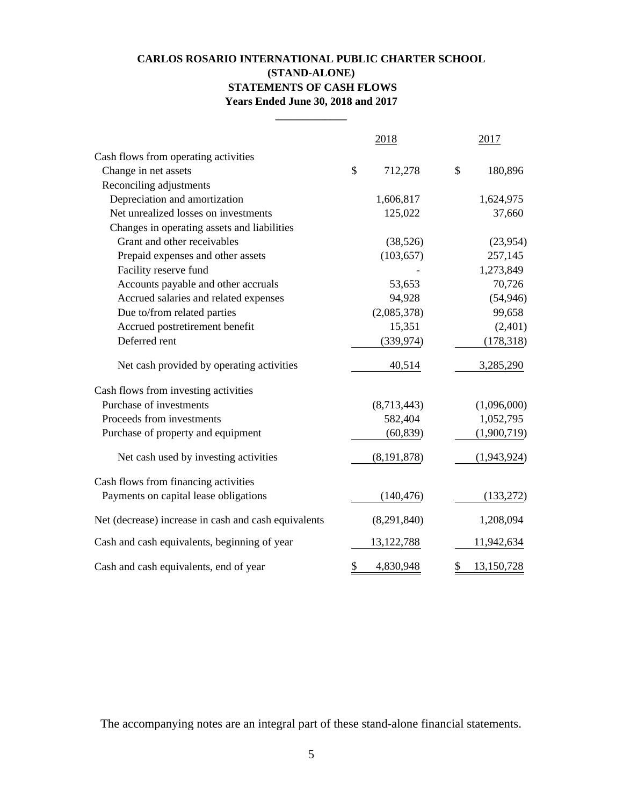### **CARLOS ROSARIO INTERNATIONAL PUBLIC CHARTER SCHOOL (STAND-ALONE) STATEMENTS OF CASH FLOWS Years Ended June 30, 2018 and 2017**

**\_\_\_\_\_\_\_\_\_\_\_\_\_**

|                                                      | 2018            | 2017             |
|------------------------------------------------------|-----------------|------------------|
| Cash flows from operating activities                 |                 |                  |
| Change in net assets                                 | \$<br>712,278   | \$<br>180,896    |
| Reconciling adjustments                              |                 |                  |
| Depreciation and amortization                        | 1,606,817       | 1,624,975        |
| Net unrealized losses on investments                 | 125,022         | 37,660           |
| Changes in operating assets and liabilities          |                 |                  |
| Grant and other receivables                          | (38, 526)       | (23,954)         |
| Prepaid expenses and other assets                    | (103, 657)      | 257,145          |
| Facility reserve fund                                |                 | 1,273,849        |
| Accounts payable and other accruals                  | 53,653          | 70,726           |
| Accrued salaries and related expenses                | 94,928          | (54, 946)        |
| Due to/from related parties                          | (2,085,378)     | 99,658           |
| Accrued postretirement benefit                       | 15,351          | (2,401)          |
| Deferred rent                                        | (339, 974)      | (178, 318)       |
| Net cash provided by operating activities            | 40,514          | 3,285,290        |
| Cash flows from investing activities                 |                 |                  |
| Purchase of investments                              | (8,713,443)     | (1,096,000)      |
| Proceeds from investments                            | 582,404         | 1,052,795        |
| Purchase of property and equipment                   | (60, 839)       | (1,900,719)      |
| Net cash used by investing activities                | (8, 191, 878)   | (1,943,924)      |
| Cash flows from financing activities                 |                 |                  |
| Payments on capital lease obligations                | (140, 476)      | (133, 272)       |
| Net (decrease) increase in cash and cash equivalents | (8,291,840)     | 1,208,094        |
| Cash and cash equivalents, beginning of year         | 13, 122, 788    | 11,942,634       |
| Cash and cash equivalents, end of year               | \$<br>4,830,948 | 13,150,728<br>\$ |

The accompanying notes are an integral part of these stand-alone financial statements.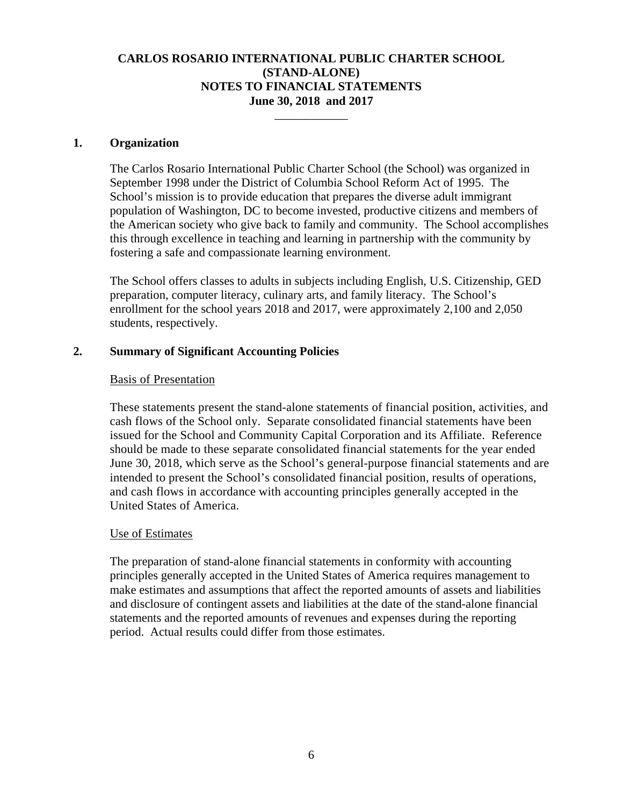\_\_\_\_\_\_\_\_\_\_\_\_

#### **1. Organization**

The Carlos Rosario International Public Charter School (the School) was organized in September 1998 under the District of Columbia School Reform Act of 1995. The School's mission is to provide education that prepares the diverse adult immigrant population of Washington, DC to become invested, productive citizens and members of the American society who give back to family and community. The School accomplishes this through excellence in teaching and learning in partnership with the community by fostering a safe and compassionate learning environment.

The School offers classes to adults in subjects including English, U.S. Citizenship, GED preparation, computer literacy, culinary arts, and family literacy. The School's enrollment for the school years 2018 and 2017, were approximately 2,100 and 2,050 students, respectively.

### **2. Summary of Significant Accounting Policies**

### Basis of Presentation

These statements present the stand-alone statements of financial position, activities, and cash flows of the School only. Separate consolidated financial statements have been issued for the School and Community Capital Corporation and its Affiliate. Reference should be made to these separate consolidated financial statements for the year ended June 30, 2018, which serve as the School's general-purpose financial statements and are intended to present the School's consolidated financial position, results of operations, and cash flows in accordance with accounting principles generally accepted in the United States of America.

### Use of Estimates

The preparation of stand-alone financial statements in conformity with accounting principles generally accepted in the United States of America requires management to make estimates and assumptions that affect the reported amounts of assets and liabilities and disclosure of contingent assets and liabilities at the date of the stand-alone financial statements and the reported amounts of revenues and expenses during the reporting period. Actual results could differ from those estimates.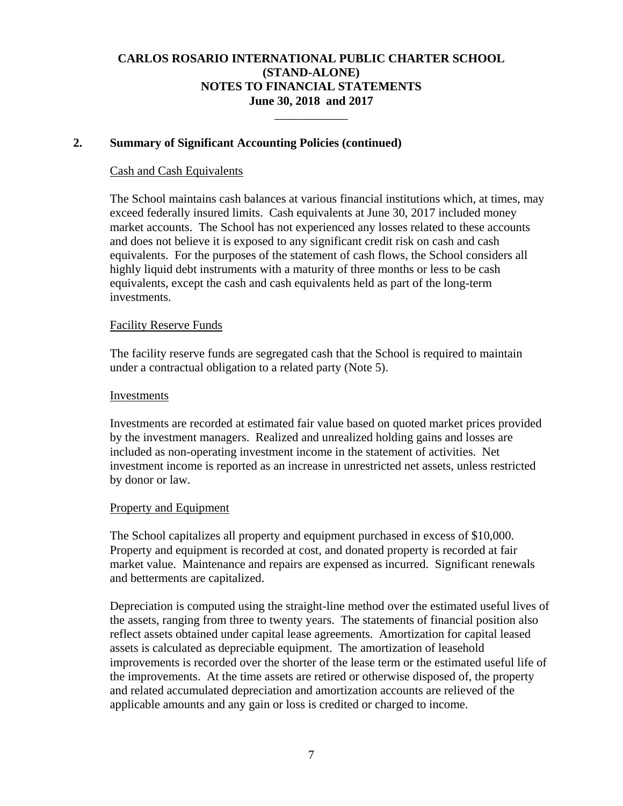\_\_\_\_\_\_\_\_\_\_\_\_

### **2. Summary of Significant Accounting Policies (continued)**

#### Cash and Cash Equivalents

The School maintains cash balances at various financial institutions which, at times, may exceed federally insured limits. Cash equivalents at June 30, 2017 included money market accounts. The School has not experienced any losses related to these accounts and does not believe it is exposed to any significant credit risk on cash and cash equivalents. For the purposes of the statement of cash flows, the School considers all highly liquid debt instruments with a maturity of three months or less to be cash equivalents, except the cash and cash equivalents held as part of the long-term investments.

#### Facility Reserve Funds

The facility reserve funds are segregated cash that the School is required to maintain under a contractual obligation to a related party (Note 5).

#### Investments

Investments are recorded at estimated fair value based on quoted market prices provided by the investment managers. Realized and unrealized holding gains and losses are included as non-operating investment income in the statement of activities. Net investment income is reported as an increase in unrestricted net assets, unless restricted by donor or law.

#### Property and Equipment

The School capitalizes all property and equipment purchased in excess of \$10,000. Property and equipment is recorded at cost, and donated property is recorded at fair market value. Maintenance and repairs are expensed as incurred. Significant renewals and betterments are capitalized.

Depreciation is computed using the straight-line method over the estimated useful lives of the assets, ranging from three to twenty years. The statements of financial position also reflect assets obtained under capital lease agreements. Amortization for capital leased assets is calculated as depreciable equipment. The amortization of leasehold improvements is recorded over the shorter of the lease term or the estimated useful life of the improvements. At the time assets are retired or otherwise disposed of, the property and related accumulated depreciation and amortization accounts are relieved of the applicable amounts and any gain or loss is credited or charged to income.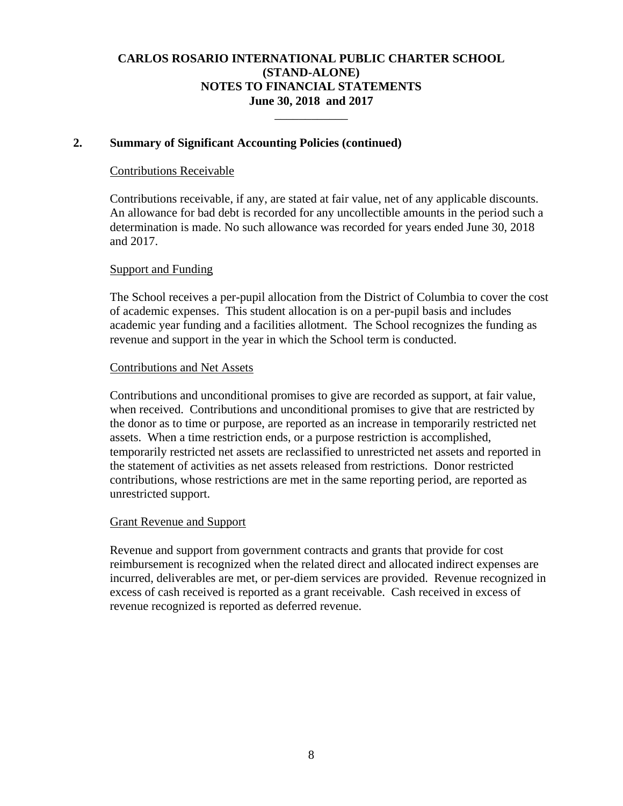\_\_\_\_\_\_\_\_\_\_\_\_

### **2. Summary of Significant Accounting Policies (continued)**

### Contributions Receivable

Contributions receivable, if any, are stated at fair value, net of any applicable discounts. An allowance for bad debt is recorded for any uncollectible amounts in the period such a determination is made. No such allowance was recorded for years ended June 30, 2018 and 2017.

#### Support and Funding

The School receives a per-pupil allocation from the District of Columbia to cover the cost of academic expenses. This student allocation is on a per-pupil basis and includes academic year funding and a facilities allotment. The School recognizes the funding as revenue and support in the year in which the School term is conducted.

#### Contributions and Net Assets

Contributions and unconditional promises to give are recorded as support, at fair value, when received. Contributions and unconditional promises to give that are restricted by the donor as to time or purpose, are reported as an increase in temporarily restricted net assets. When a time restriction ends, or a purpose restriction is accomplished, temporarily restricted net assets are reclassified to unrestricted net assets and reported in the statement of activities as net assets released from restrictions. Donor restricted contributions, whose restrictions are met in the same reporting period, are reported as unrestricted support.

#### Grant Revenue and Support

Revenue and support from government contracts and grants that provide for cost reimbursement is recognized when the related direct and allocated indirect expenses are incurred, deliverables are met, or per-diem services are provided. Revenue recognized in excess of cash received is reported as a grant receivable. Cash received in excess of revenue recognized is reported as deferred revenue.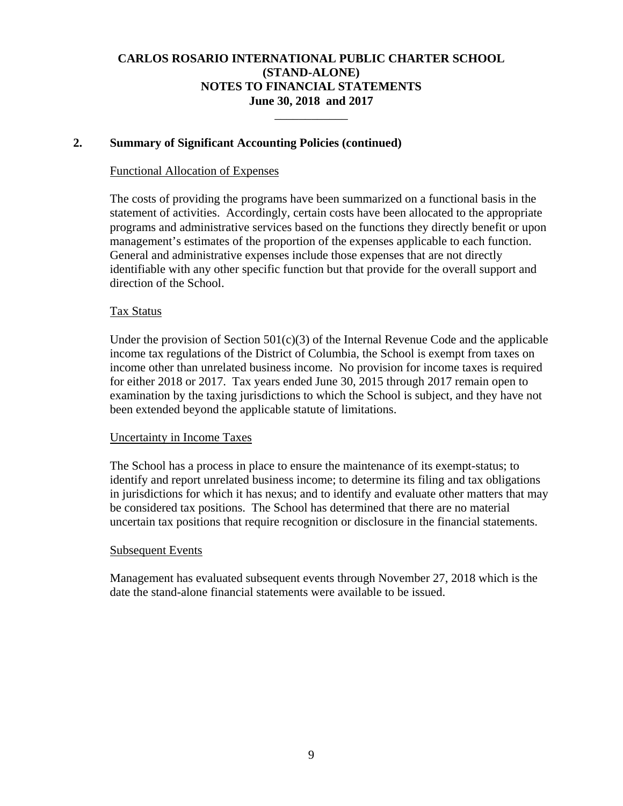\_\_\_\_\_\_\_\_\_\_\_\_

### **2. Summary of Significant Accounting Policies (continued)**

#### Functional Allocation of Expenses

The costs of providing the programs have been summarized on a functional basis in the statement of activities. Accordingly, certain costs have been allocated to the appropriate programs and administrative services based on the functions they directly benefit or upon management's estimates of the proportion of the expenses applicable to each function. General and administrative expenses include those expenses that are not directly identifiable with any other specific function but that provide for the overall support and direction of the School.

### Tax Status

Under the provision of Section  $501(c)(3)$  of the Internal Revenue Code and the applicable income tax regulations of the District of Columbia, the School is exempt from taxes on income other than unrelated business income. No provision for income taxes is required for either 2018 or 2017. Tax years ended June 30, 2015 through 2017 remain open to examination by the taxing jurisdictions to which the School is subject, and they have not been extended beyond the applicable statute of limitations.

#### Uncertainty in Income Taxes

The School has a process in place to ensure the maintenance of its exempt-status; to identify and report unrelated business income; to determine its filing and tax obligations in jurisdictions for which it has nexus; and to identify and evaluate other matters that may be considered tax positions. The School has determined that there are no material uncertain tax positions that require recognition or disclosure in the financial statements.

#### Subsequent Events

Management has evaluated subsequent events through November 27, 2018 which is the date the stand-alone financial statements were available to be issued.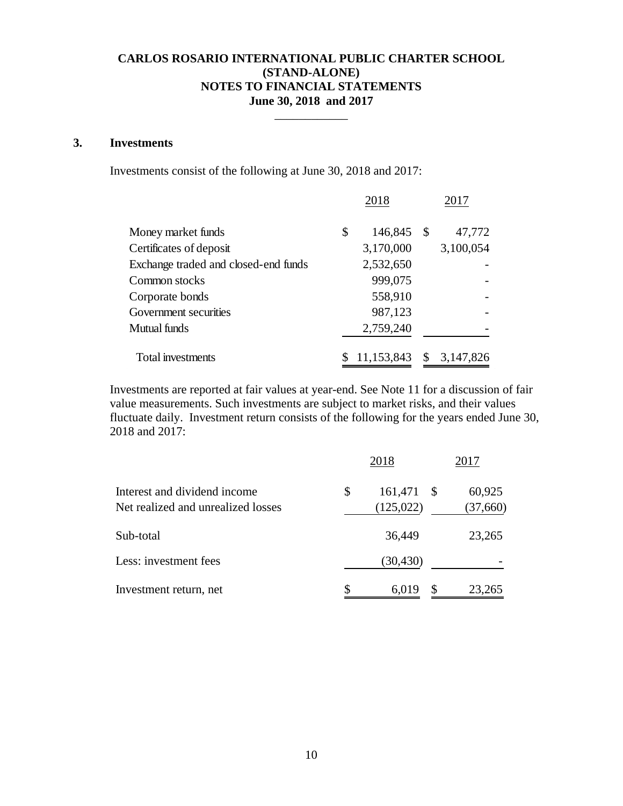$\overline{\phantom{a}}$ 

### **3. Investments**

Investments consist of the following at June 30, 2018 and 2017:

|                                      |    | 2018       | 2017          |           |  |
|--------------------------------------|----|------------|---------------|-----------|--|
| Money market funds                   | \$ | 146,845    | - \$          | 47,772    |  |
| Certificates of deposit              |    | 3,170,000  |               | 3,100,054 |  |
| Exchange traded and closed-end funds |    | 2,532,650  |               |           |  |
| Common stocks                        |    | 999,075    |               |           |  |
| Corporate bonds                      |    | 558,910    |               |           |  |
| Government securities                |    | 987,123    |               |           |  |
| Mutual funds                         |    | 2,759,240  |               |           |  |
| Total investments                    |    | 11,153,843 | <sup>\$</sup> | 3,147,826 |  |
|                                      |    |            |               |           |  |

Investments are reported at fair values at year-end. See Note 11 for a discussion of fair value measurements. Such investments are subject to market risks, and their values fluctuate daily. Investment return consists of the following for the years ended June 30, 2018 and 2017:

|                                                                    | 2018                                         | 2017               |
|--------------------------------------------------------------------|----------------------------------------------|--------------------|
| Interest and dividend income<br>Net realized and unrealized losses | \$<br>161,471<br><sup>\$</sup><br>(125, 022) | 60,925<br>(37,660) |
| Sub-total                                                          | 36,449                                       | 23,265             |
| Less: investment fees                                              | (30, 430)                                    |                    |
| Investment return, net                                             | \$<br>6,019                                  | 23,265             |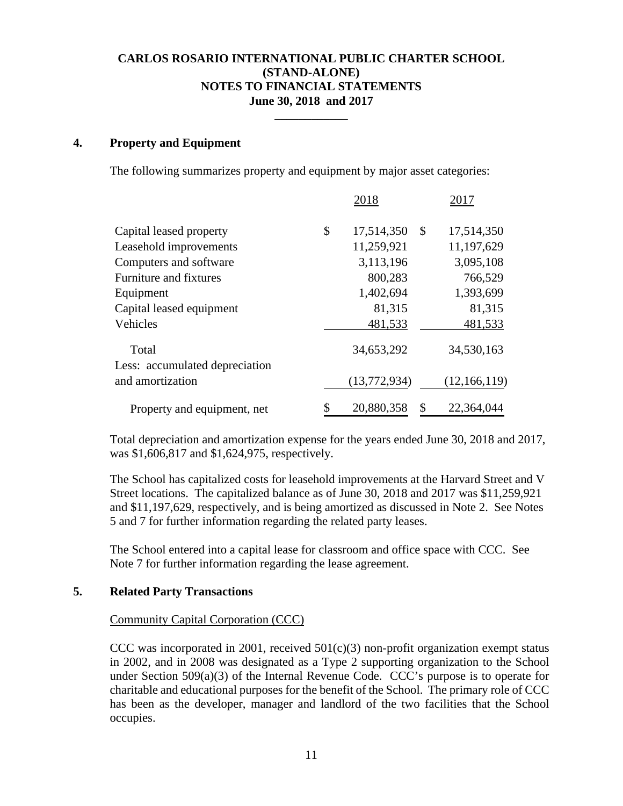\_\_\_\_\_\_\_\_\_\_\_\_

#### **4. Property and Equipment**

The following summarizes property and equipment by major asset categories:

|                                         | 2018             |              | 2017           |
|-----------------------------------------|------------------|--------------|----------------|
| Capital leased property                 | \$<br>17,514,350 | $\mathbb{S}$ | 17,514,350     |
| Leasehold improvements                  | 11,259,921       |              | 11,197,629     |
| Computers and software                  | 3,113,196        |              | 3,095,108      |
| Furniture and fixtures                  | 800,283          |              | 766,529        |
| Equipment                               | 1,402,694        |              | 1,393,699      |
| Capital leased equipment                | 81,315           |              | 81,315         |
| Vehicles                                | 481,533          |              | 481,533        |
| Total<br>Less: accumulated depreciation | 34,653,292       |              | 34,530,163     |
| and amortization                        | (13,772,934)     |              | (12, 166, 119) |
| Property and equipment, net             | \$<br>20,880,358 | \$           | 22,364,044     |

Total depreciation and amortization expense for the years ended June 30, 2018 and 2017, was \$1,606,817 and \$1,624,975, respectively.

The School has capitalized costs for leasehold improvements at the Harvard Street and V Street locations. The capitalized balance as of June 30, 2018 and 2017 was \$11,259,921 and \$11,197,629, respectively, and is being amortized as discussed in Note 2. See Notes 5 and 7 for further information regarding the related party leases.

The School entered into a capital lease for classroom and office space with CCC. See Note 7 for further information regarding the lease agreement.

#### **5. Related Party Transactions**

#### Community Capital Corporation (CCC)

CCC was incorporated in 2001, received  $501(c)(3)$  non-profit organization exempt status in 2002, and in 2008 was designated as a Type 2 supporting organization to the School under Section 509(a)(3) of the Internal Revenue Code. CCC's purpose is to operate for charitable and educational purposes for the benefit of the School. The primary role of CCC has been as the developer, manager and landlord of the two facilities that the School occupies.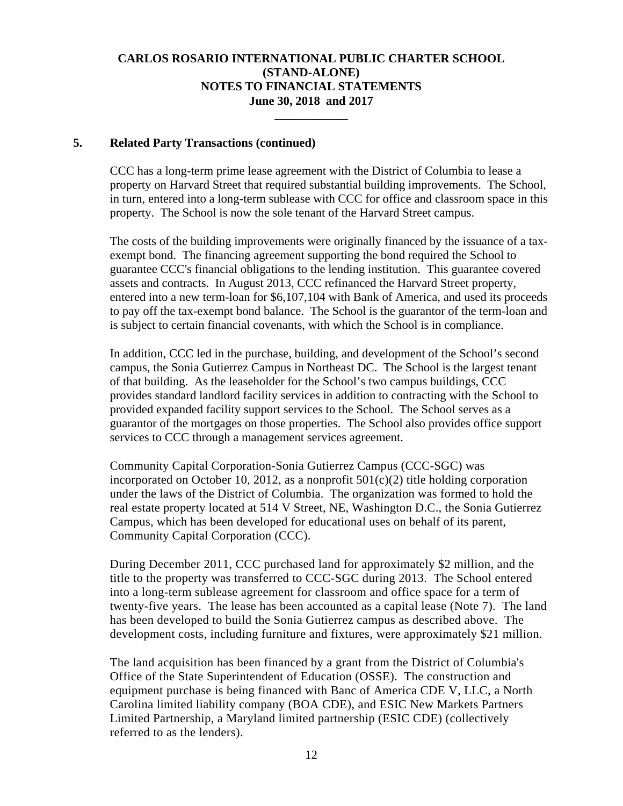\_\_\_\_\_\_\_\_\_\_\_\_

#### **5. Related Party Transactions (continued)**

CCC has a long-term prime lease agreement with the District of Columbia to lease a property on Harvard Street that required substantial building improvements. The School, in turn, entered into a long-term sublease with CCC for office and classroom space in this property. The School is now the sole tenant of the Harvard Street campus.

The costs of the building improvements were originally financed by the issuance of a taxexempt bond. The financing agreement supporting the bond required the School to guarantee CCC's financial obligations to the lending institution. This guarantee covered assets and contracts. In August 2013, CCC refinanced the Harvard Street property, entered into a new term-loan for \$6,107,104 with Bank of America, and used its proceeds to pay off the tax-exempt bond balance. The School is the guarantor of the term-loan and is subject to certain financial covenants, with which the School is in compliance.

In addition, CCC led in the purchase, building, and development of the School's second campus, the Sonia Gutierrez Campus in Northeast DC. The School is the largest tenant of that building. As the leaseholder for the School's two campus buildings, CCC provides standard landlord facility services in addition to contracting with the School to provided expanded facility support services to the School. The School serves as a guarantor of the mortgages on those properties. The School also provides office support services to CCC through a management services agreement.

Community Capital Corporation-Sonia Gutierrez Campus (CCC-SGC) was incorporated on October 10, 2012, as a nonprofit  $501(c)(2)$  title holding corporation under the laws of the District of Columbia. The organization was formed to hold the real estate property located at 514 V Street, NE, Washington D.C., the Sonia Gutierrez Campus, which has been developed for educational uses on behalf of its parent, Community Capital Corporation (CCC).

During December 2011, CCC purchased land for approximately \$2 million, and the title to the property was transferred to CCC-SGC during 2013. The School entered into a long-term sublease agreement for classroom and office space for a term of twenty-five years. The lease has been accounted as a capital lease (Note 7). The land has been developed to build the Sonia Gutierrez campus as described above. The development costs, including furniture and fixtures, were approximately \$21 million.

The land acquisition has been financed by a grant from the District of Columbia's Office of the State Superintendent of Education (OSSE). The construction and equipment purchase is being financed with Banc of America CDE V, LLC, a North Carolina limited liability company (BOA CDE), and ESIC New Markets Partners Limited Partnership, a Maryland limited partnership (ESIC CDE) (collectively referred to as the lenders).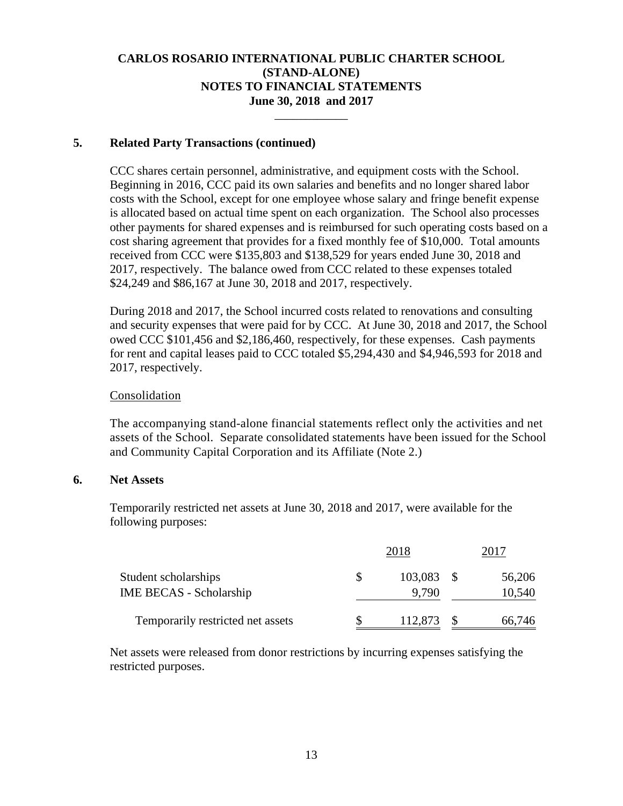\_\_\_\_\_\_\_\_\_\_\_\_

### **5. Related Party Transactions (continued)**

CCC shares certain personnel, administrative, and equipment costs with the School. Beginning in 2016, CCC paid its own salaries and benefits and no longer shared labor costs with the School, except for one employee whose salary and fringe benefit expense is allocated based on actual time spent on each organization. The School also processes other payments for shared expenses and is reimbursed for such operating costs based on a cost sharing agreement that provides for a fixed monthly fee of \$10,000. Total amounts received from CCC were \$135,803 and \$138,529 for years ended June 30, 2018 and 2017, respectively. The balance owed from CCC related to these expenses totaled \$24,249 and \$86,167 at June 30, 2018 and 2017, respectively.

During 2018 and 2017, the School incurred costs related to renovations and consulting and security expenses that were paid for by CCC. At June 30, 2018 and 2017, the School owed CCC \$101,456 and \$2,186,460, respectively, for these expenses. Cash payments for rent and capital leases paid to CCC totaled \$5,294,430 and \$4,946,593 for 2018 and 2017, respectively.

### **Consolidation**

The accompanying stand-alone financial statements reflect only the activities and net assets of the School. Separate consolidated statements have been issued for the School and Community Capital Corporation and its Affiliate (Note 2.)

### **6. Net Assets**

Temporarily restricted net assets at June 30, 2018 and 2017, were available for the following purposes:

|                                   | 2018         |  |        |  |
|-----------------------------------|--------------|--|--------|--|
| Student scholarships              | $103,083$ \$ |  | 56,206 |  |
| <b>IME BECAS - Scholarship</b>    | 9.790        |  | 10,540 |  |
| Temporarily restricted net assets | 112,873      |  | 66,746 |  |

Net assets were released from donor restrictions by incurring expenses satisfying the restricted purposes.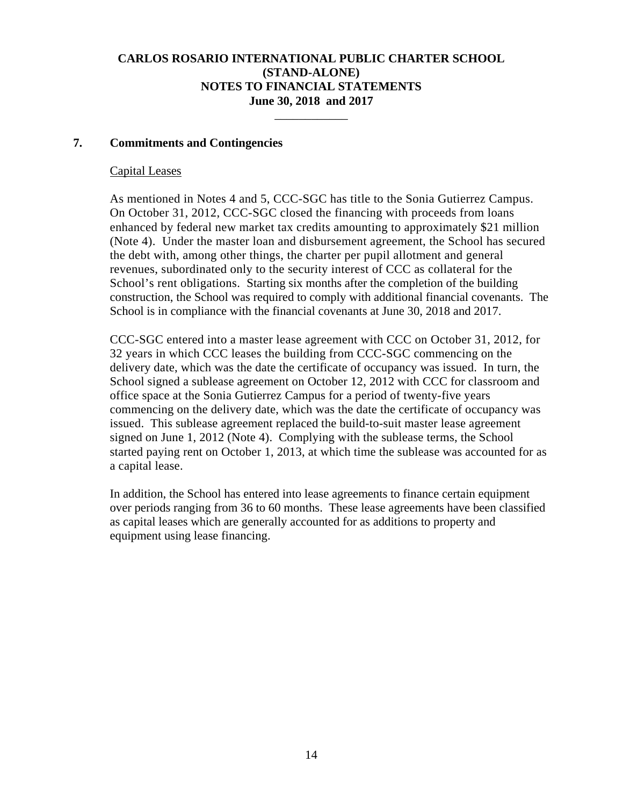\_\_\_\_\_\_\_\_\_\_\_\_

### **7. Commitments and Contingencies**

#### Capital Leases

As mentioned in Notes 4 and 5, CCC-SGC has title to the Sonia Gutierrez Campus. On October 31, 2012, CCC-SGC closed the financing with proceeds from loans enhanced by federal new market tax credits amounting to approximately \$21 million (Note 4). Under the master loan and disbursement agreement, the School has secured the debt with, among other things, the charter per pupil allotment and general revenues, subordinated only to the security interest of CCC as collateral for the School's rent obligations. Starting six months after the completion of the building construction, the School was required to comply with additional financial covenants. The School is in compliance with the financial covenants at June 30, 2018 and 2017.

CCC-SGC entered into a master lease agreement with CCC on October 31, 2012, for 32 years in which CCC leases the building from CCC-SGC commencing on the delivery date, which was the date the certificate of occupancy was issued. In turn, the School signed a sublease agreement on October 12, 2012 with CCC for classroom and office space at the Sonia Gutierrez Campus for a period of twenty-five years commencing on the delivery date, which was the date the certificate of occupancy was issued. This sublease agreement replaced the build-to-suit master lease agreement signed on June 1, 2012 (Note 4). Complying with the sublease terms, the School started paying rent on October 1, 2013, at which time the sublease was accounted for as a capital lease.

In addition, the School has entered into lease agreements to finance certain equipment over periods ranging from 36 to 60 months. These lease agreements have been classified as capital leases which are generally accounted for as additions to property and equipment using lease financing.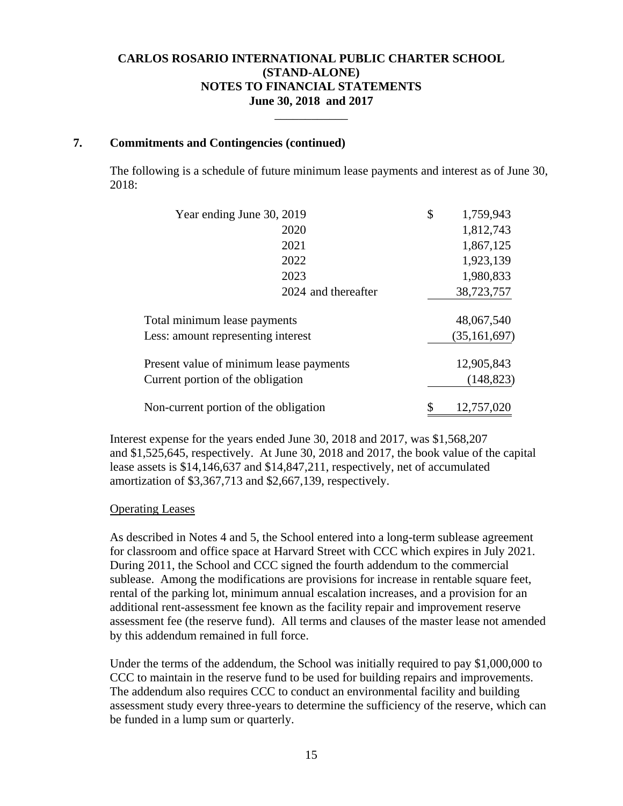\_\_\_\_\_\_\_\_\_\_\_\_

### **7. Commitments and Contingencies (continued)**

The following is a schedule of future minimum lease payments and interest as of June 30, 2018:

| Year ending June 30, 2019               |                     | \$<br>1,759,943 |
|-----------------------------------------|---------------------|-----------------|
| 2020                                    |                     | 1,812,743       |
| 2021                                    |                     | 1,867,125       |
| 2022                                    |                     | 1,923,139       |
| 2023                                    |                     | 1,980,833       |
|                                         | 2024 and thereafter | 38,723,757      |
| Total minimum lease payments            |                     | 48,067,540      |
| Less: amount representing interest      |                     | (35, 161, 697)  |
| Present value of minimum lease payments |                     | 12,905,843      |
| Current portion of the obligation       |                     | (148, 823)      |
| Non-current portion of the obligation   |                     | 12,757,020      |

Interest expense for the years ended June 30, 2018 and 2017, was \$1,568,207 and \$1,525,645, respectively. At June 30, 2018 and 2017, the book value of the capital lease assets is \$14,146,637 and \$14,847,211, respectively, net of accumulated amortization of \$3,367,713 and \$2,667,139, respectively.

### Operating Leases

As described in Notes 4 and 5, the School entered into a long-term sublease agreement for classroom and office space at Harvard Street with CCC which expires in July 2021. During 2011, the School and CCC signed the fourth addendum to the commercial sublease. Among the modifications are provisions for increase in rentable square feet, rental of the parking lot, minimum annual escalation increases, and a provision for an additional rent-assessment fee known as the facility repair and improvement reserve assessment fee (the reserve fund). All terms and clauses of the master lease not amended by this addendum remained in full force.

Under the terms of the addendum, the School was initially required to pay \$1,000,000 to CCC to maintain in the reserve fund to be used for building repairs and improvements. The addendum also requires CCC to conduct an environmental facility and building assessment study every three-years to determine the sufficiency of the reserve, which can be funded in a lump sum or quarterly.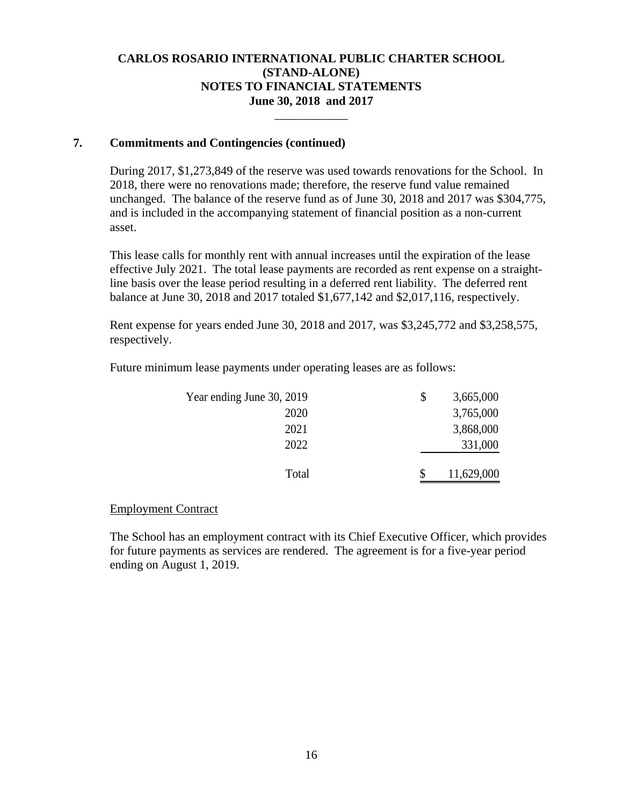\_\_\_\_\_\_\_\_\_\_\_\_

### **7. Commitments and Contingencies (continued)**

During 2017, \$1,273,849 of the reserve was used towards renovations for the School. In 2018, there were no renovations made; therefore, the reserve fund value remained unchanged. The balance of the reserve fund as of June 30, 2018 and 2017 was \$304,775, and is included in the accompanying statement of financial position as a non-current asset.

This lease calls for monthly rent with annual increases until the expiration of the lease effective July 2021. The total lease payments are recorded as rent expense on a straightline basis over the lease period resulting in a deferred rent liability. The deferred rent balance at June 30, 2018 and 2017 totaled \$1,677,142 and \$2,017,116, respectively.

Rent expense for years ended June 30, 2018 and 2017, was \$3,245,772 and \$3,258,575, respectively.

Future minimum lease payments under operating leases are as follows:

| 3,665,000  |
|------------|
| 3,765,000  |
| 3,868,000  |
| 331,000    |
| 11,629,000 |
|            |

### Employment Contract

The School has an employment contract with its Chief Executive Officer, which provides for future payments as services are rendered. The agreement is for a five-year period ending on August 1, 2019.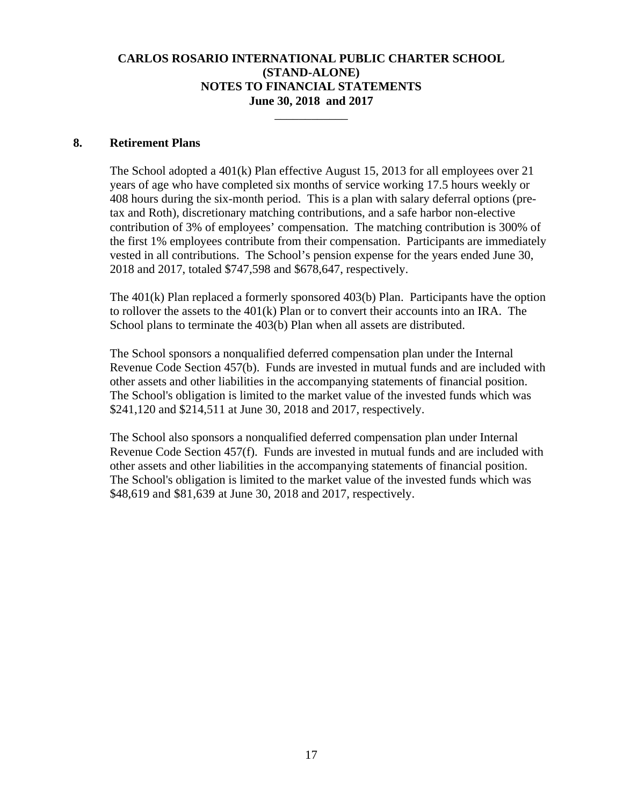\_\_\_\_\_\_\_\_\_\_\_\_

### **8. Retirement Plans**

The School adopted a 401(k) Plan effective August 15, 2013 for all employees over 21 years of age who have completed six months of service working 17.5 hours weekly or 408 hours during the six-month period. This is a plan with salary deferral options (pretax and Roth), discretionary matching contributions, and a safe harbor non-elective contribution of 3% of employees' compensation. The matching contribution is 300% of the first 1% employees contribute from their compensation. Participants are immediately vested in all contributions. The School's pension expense for the years ended June 30, 2018 and 2017, totaled \$747,598 and \$678,647, respectively.

The 401(k) Plan replaced a formerly sponsored 403(b) Plan. Participants have the option to rollover the assets to the 401(k) Plan or to convert their accounts into an IRA. The School plans to terminate the 403(b) Plan when all assets are distributed.

The School sponsors a nonqualified deferred compensation plan under the Internal Revenue Code Section 457(b). Funds are invested in mutual funds and are included with other assets and other liabilities in the accompanying statements of financial position. The School's obligation is limited to the market value of the invested funds which was \$241,120 and \$214,511 at June 30, 2018 and 2017, respectively.

The School also sponsors a nonqualified deferred compensation plan under Internal Revenue Code Section 457(f). Funds are invested in mutual funds and are included with other assets and other liabilities in the accompanying statements of financial position. The School's obligation is limited to the market value of the invested funds which was \$48,619 and \$81,639 at June 30, 2018 and 2017, respectively.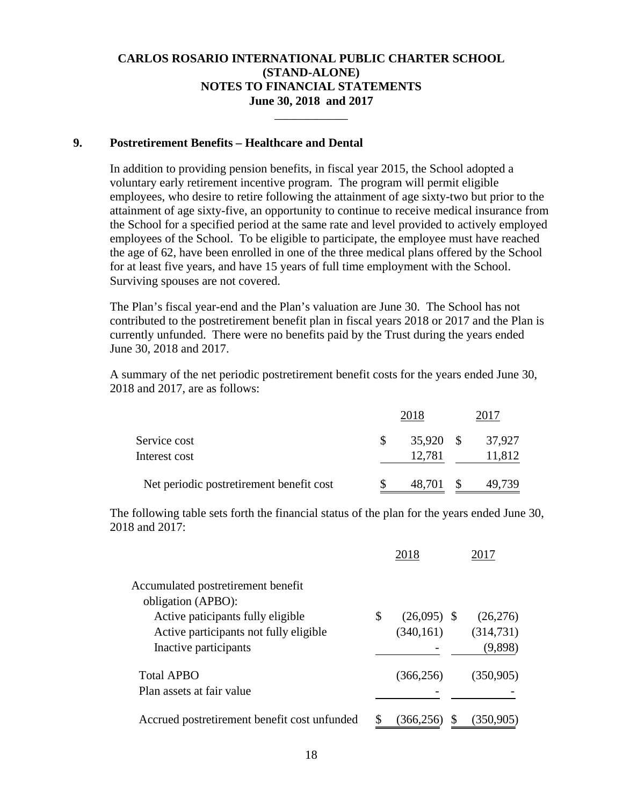\_\_\_\_\_\_\_\_\_\_\_\_

### **9. Postretirement Benefits – Healthcare and Dental**

In addition to providing pension benefits, in fiscal year 2015, the School adopted a voluntary early retirement incentive program. The program will permit eligible employees, who desire to retire following the attainment of age sixty-two but prior to the attainment of age sixty-five, an opportunity to continue to receive medical insurance from the School for a specified period at the same rate and level provided to actively employed employees of the School. To be eligible to participate, the employee must have reached the age of 62, have been enrolled in one of the three medical plans offered by the School for at least five years, and have 15 years of full time employment with the School. Surviving spouses are not covered.

The Plan's fiscal year-end and the Plan's valuation are June 30. The School has not contributed to the postretirement benefit plan in fiscal years 2018 or 2017 and the Plan is currently unfunded. There were no benefits paid by the Trust during the years ended June 30, 2018 and 2017.

 A summary of the net periodic postretirement benefit costs for the years ended June 30, 2018 and 2017, are as follows:

|                                          | 2018      | 2017   |
|------------------------------------------|-----------|--------|
| Service cost                             | 35,920 \$ | 37,927 |
| Interest cost                            | 12,781    | 11,812 |
| Net periodic postretirement benefit cost | 48,701 \$ | 49,739 |

The following table sets forth the financial status of the plan for the years ended June 30, 2018 and 2017:

|                                                         | 2018                |            |
|---------------------------------------------------------|---------------------|------------|
| Accumulated postretirement benefit                      |                     |            |
| obligation (APBO):<br>Active paticipants fully eligible | \$<br>$(26,095)$ \$ | (26,276)   |
| Active participants not fully eligible                  | (340, 161)          | (314, 731) |
| Inactive participants                                   |                     | (9,898)    |
| <b>Total APBO</b>                                       | (366, 256)          | (350, 905) |
| Plan assets at fair value                               |                     |            |
| Accrued postretirement benefit cost unfunded            | (366,25             | (350, 905) |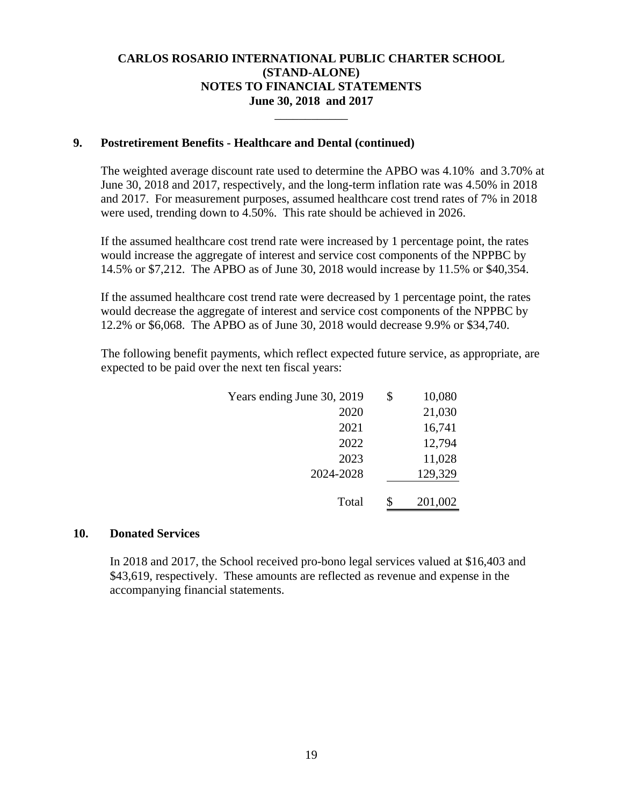\_\_\_\_\_\_\_\_\_\_\_\_

### **9. Postretirement Benefits - Healthcare and Dental (continued)**

The weighted average discount rate used to determine the APBO was 4.10% and 3.70% at June 30, 2018 and 2017, respectively, and the long-term inflation rate was 4.50% in 2018 and 2017. For measurement purposes, assumed healthcare cost trend rates of 7% in 2018 were used, trending down to 4.50%. This rate should be achieved in 2026.

If the assumed healthcare cost trend rate were increased by 1 percentage point, the rates would increase the aggregate of interest and service cost components of the NPPBC by 14.5% or \$7,212. The APBO as of June 30, 2018 would increase by 11.5% or \$40,354.

If the assumed healthcare cost trend rate were decreased by 1 percentage point, the rates would decrease the aggregate of interest and service cost components of the NPPBC by 12.2% or \$6,068. The APBO as of June 30, 2018 would decrease 9.9% or \$34,740.

The following benefit payments, which reflect expected future service, as appropriate, are expected to be paid over the next ten fiscal years:

| Years ending June 30, 2019 | \$<br>10,080  |
|----------------------------|---------------|
| 2020                       | 21,030        |
| 2021                       | 16,741        |
| 2022                       | 12,794        |
| 2023                       | 11,028        |
| 2024-2028                  | 129,329       |
|                            |               |
| Total                      | \$<br>201,002 |

### **10. Donated Services**

In 2018 and 2017, the School received pro-bono legal services valued at \$16,403 and \$43,619, respectively. These amounts are reflected as revenue and expense in the accompanying financial statements.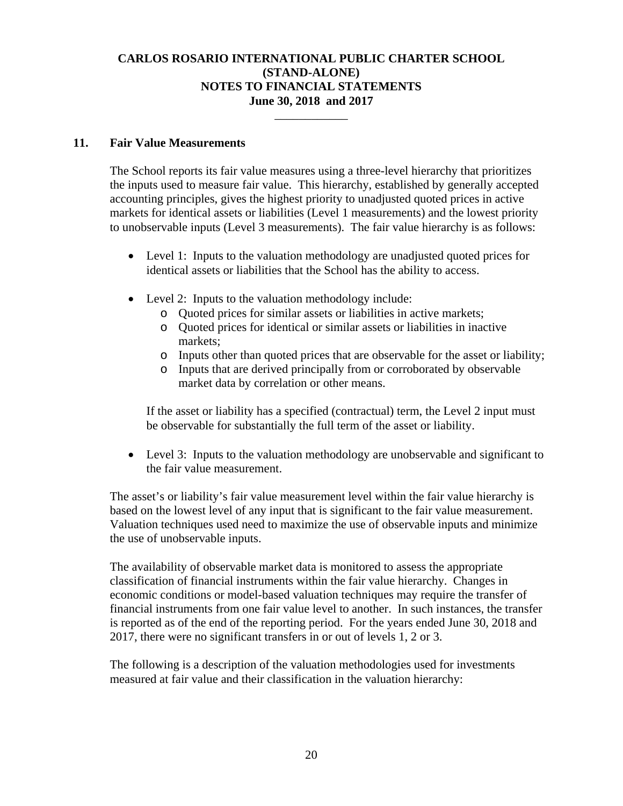\_\_\_\_\_\_\_\_\_\_\_\_

### **11. Fair Value Measurements**

The School reports its fair value measures using a three-level hierarchy that prioritizes the inputs used to measure fair value. This hierarchy, established by generally accepted accounting principles, gives the highest priority to unadjusted quoted prices in active markets for identical assets or liabilities (Level 1 measurements) and the lowest priority to unobservable inputs (Level 3 measurements). The fair value hierarchy is as follows:

- Level 1: Inputs to the valuation methodology are unadjusted quoted prices for identical assets or liabilities that the School has the ability to access.
- Level 2: Inputs to the valuation methodology include:
	- o Quoted prices for similar assets or liabilities in active markets;
	- o Quoted prices for identical or similar assets or liabilities in inactive markets;
	- o Inputs other than quoted prices that are observable for the asset or liability;
	- o Inputs that are derived principally from or corroborated by observable market data by correlation or other means.

If the asset or liability has a specified (contractual) term, the Level 2 input must be observable for substantially the full term of the asset or liability.

 Level 3: Inputs to the valuation methodology are unobservable and significant to the fair value measurement.

The asset's or liability's fair value measurement level within the fair value hierarchy is based on the lowest level of any input that is significant to the fair value measurement. Valuation techniques used need to maximize the use of observable inputs and minimize the use of unobservable inputs.

The availability of observable market data is monitored to assess the appropriate classification of financial instruments within the fair value hierarchy. Changes in economic conditions or model-based valuation techniques may require the transfer of financial instruments from one fair value level to another. In such instances, the transfer is reported as of the end of the reporting period. For the years ended June 30, 2018 and 2017, there were no significant transfers in or out of levels 1, 2 or 3.

The following is a description of the valuation methodologies used for investments measured at fair value and their classification in the valuation hierarchy: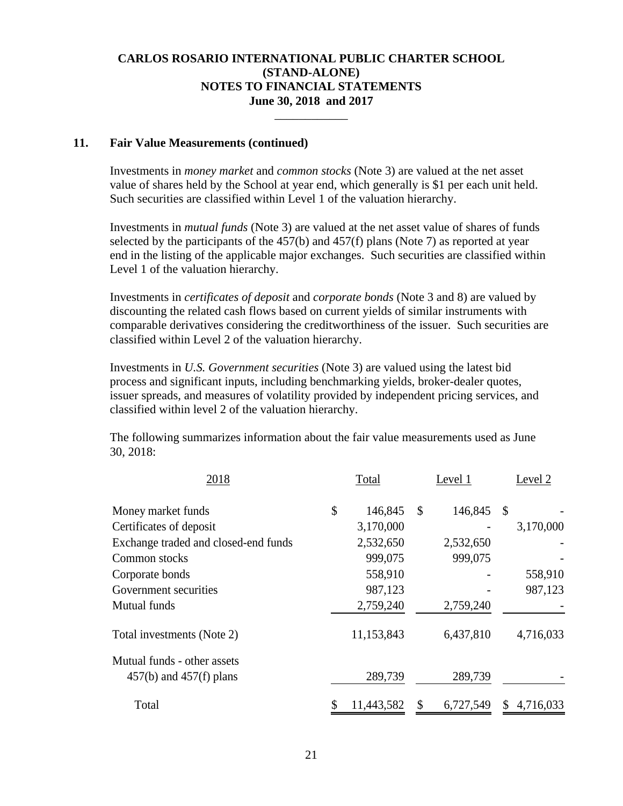\_\_\_\_\_\_\_\_\_\_\_\_

#### **11. Fair Value Measurements (continued)**

Investments in *money market* and *common stocks* (Note 3) are valued at the net asset value of shares held by the School at year end, which generally is \$1 per each unit held. Such securities are classified within Level 1 of the valuation hierarchy.

Investments in *mutual funds* (Note 3) are valued at the net asset value of shares of funds selected by the participants of the 457(b) and 457(f) plans (Note 7) as reported at year end in the listing of the applicable major exchanges. Such securities are classified within Level 1 of the valuation hierarchy.

Investments in *certificates of deposit* and *corporate bonds* (Note 3 and 8) are valued by discounting the related cash flows based on current yields of similar instruments with comparable derivatives considering the creditworthiness of the issuer. Such securities are classified within Level 2 of the valuation hierarchy.

Investments in *U.S. Government securities* (Note 3) are valued using the latest bid process and significant inputs, including benchmarking yields, broker-dealer quotes, issuer spreads, and measures of volatility provided by independent pricing services, and classified within level 2 of the valuation hierarchy.

The following summarizes information about the fair value measurements used as June 30, 2018:

| 2018                                 | Total         | Level 1       |           | Level 2       |           |
|--------------------------------------|---------------|---------------|-----------|---------------|-----------|
| Money market funds                   | \$<br>146,845 | $\mathcal{S}$ | 146,845   | $\mathcal{S}$ |           |
| Certificates of deposit              | 3,170,000     |               |           |               | 3,170,000 |
| Exchange traded and closed-end funds | 2,532,650     |               | 2,532,650 |               |           |
| Common stocks                        | 999,075       |               | 999,075   |               |           |
| Corporate bonds                      | 558,910       |               |           |               | 558,910   |
| Government securities                | 987,123       |               |           |               | 987,123   |
| <b>Mutual funds</b>                  | 2,759,240     |               | 2,759,240 |               |           |
| Total investments (Note 2)           | 11,153,843    |               | 6,437,810 |               | 4,716,033 |
| Mutual funds - other assets          |               |               |           |               |           |
| $457(b)$ and $457(f)$ plans          | 289,739       |               | 289,739   |               |           |
| Total                                | 11,443,582    |               | 6,727,549 |               | 4,716,033 |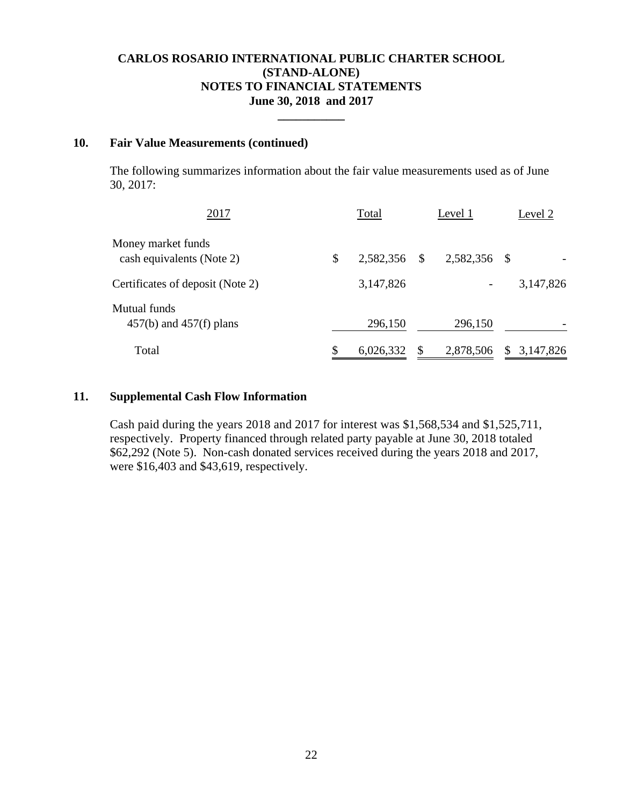**\_\_\_\_\_\_\_\_\_\_\_** 

### **10. Fair Value Measurements (continued)**

The following summarizes information about the fair value measurements used as of June 30, 2017:

| 2017                                            | Total           | Level 1       |              |    | Level 2   |  |  |
|-------------------------------------------------|-----------------|---------------|--------------|----|-----------|--|--|
| Money market funds<br>cash equivalents (Note 2) | \$<br>2,582,356 | <sup>\$</sup> | 2,582,356 \$ |    |           |  |  |
| Certificates of deposit (Note 2)                | 3,147,826       |               |              |    | 3,147,826 |  |  |
| Mutual funds<br>$457(b)$ and $457(f)$ plans     | 296,150         |               | 296,150      |    |           |  |  |
| Total                                           | \$<br>6,026,332 |               | 2,878,506    | S. | 3,147,826 |  |  |

#### **11. Supplemental Cash Flow Information**

Cash paid during the years 2018 and 2017 for interest was \$1,568,534 and \$1,525,711, respectively. Property financed through related party payable at June 30, 2018 totaled \$62,292 (Note 5). Non-cash donated services received during the years 2018 and 2017, were \$16,403 and \$43,619, respectively.